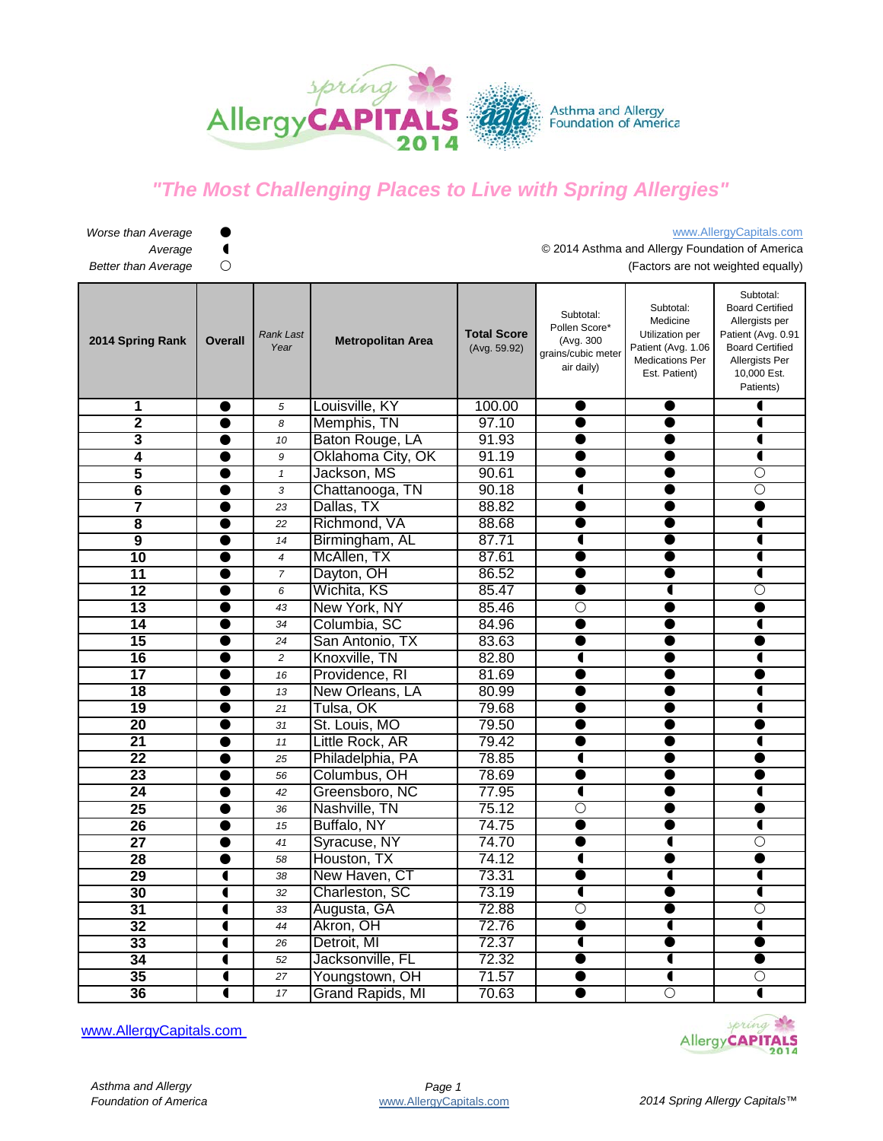

## *"The Most Challenging Places to Live with Spring Allergies"*

| Average                    |                 |                   |                          |                                    |                                                                             | © 2014 Asthma and Allergy Foundation of America                                                           |                                                                                                                                                     |
|----------------------------|-----------------|-------------------|--------------------------|------------------------------------|-----------------------------------------------------------------------------|-----------------------------------------------------------------------------------------------------------|-----------------------------------------------------------------------------------------------------------------------------------------------------|
| <b>Better than Average</b> | $\bigcirc$      |                   |                          |                                    |                                                                             |                                                                                                           | (Factors are not weighted equally)                                                                                                                  |
|                            |                 |                   |                          |                                    |                                                                             |                                                                                                           |                                                                                                                                                     |
| 2014 Spring Rank           | <b>Overall</b>  | Rank Last<br>Year | <b>Metropolitan Area</b> | <b>Total Score</b><br>(Avg. 59.92) | Subtotal:<br>Pollen Score*<br>(Avg. 300<br>grains/cubic meter<br>air daily) | Subtotal:<br>Medicine<br>Utilization per<br>Patient (Avg. 1.06<br><b>Medications Per</b><br>Est. Patient) | Subtotal:<br><b>Board Certified</b><br>Allergists per<br>Patient (Avg. 0.91<br><b>Board Certified</b><br>Allergists Per<br>10,000 Est.<br>Patients) |
| 1                          |                 | 5                 | Louisville, KY           | 100.00                             |                                                                             |                                                                                                           |                                                                                                                                                     |
| $\overline{\mathbf{2}}$    |                 | 8                 | Memphis, TN              | 97.10                              |                                                                             |                                                                                                           |                                                                                                                                                     |
| 3                          |                 | 10                | Baton Rouge, LA          | 91.93                              |                                                                             |                                                                                                           |                                                                                                                                                     |
| 4                          |                 | 9                 | Oklahoma City, OK        | 91.19                              |                                                                             |                                                                                                           |                                                                                                                                                     |
| 5                          |                 | $\mathbf{1}$      | Jackson, MS              | 90.61                              |                                                                             |                                                                                                           | $\overline{\bigcirc}$                                                                                                                               |
| $\overline{\bf{6}}$        |                 | 3                 | Chattanooga, TN          | 90.18                              |                                                                             |                                                                                                           | $\overline{\bigcirc}$                                                                                                                               |
| 7                          |                 | 23                | Dallas, TX               | 88.82                              |                                                                             |                                                                                                           |                                                                                                                                                     |
| 8                          |                 | 22                | Richmond, VA             | 88.68                              |                                                                             |                                                                                                           | 1                                                                                                                                                   |
| 9                          |                 | 14                | Birmingham, AL           | 87.71                              | 1                                                                           |                                                                                                           | 1                                                                                                                                                   |
| 10                         |                 | $\overline{4}$    | McAllen, TX              | 87.61                              |                                                                             |                                                                                                           | ◀                                                                                                                                                   |
| $\overline{11}$            |                 | $\overline{7}$    | Dayton, OH               | 86.52                              |                                                                             |                                                                                                           | 1                                                                                                                                                   |
| $\overline{12}$            |                 | 6                 | Wichita, KS              | 85.47                              | ●                                                                           | ◀                                                                                                         | $\bigcirc$                                                                                                                                          |
| $\overline{13}$            | e               | 43                | New York, NY             | 85.46                              | $\overline{\bigcirc}$                                                       |                                                                                                           | A                                                                                                                                                   |
| $\overline{14}$            | ●               | 34                | Columbia, SC             | 84.96                              |                                                                             |                                                                                                           | 1                                                                                                                                                   |
| $\overline{15}$            |                 | 24                | San Antonio, TX          | 83.63                              |                                                                             |                                                                                                           |                                                                                                                                                     |
| $\overline{16}$            |                 | $\overline{c}$    | Knoxville, TN            | 82.80                              |                                                                             |                                                                                                           |                                                                                                                                                     |
| $\overline{17}$            |                 | 16                | Providence, RI           | 81.69                              |                                                                             |                                                                                                           |                                                                                                                                                     |
| $\overline{18}$            |                 | 13                | New Orleans, LA          | 80.99                              |                                                                             |                                                                                                           |                                                                                                                                                     |
| 19                         |                 | 21                | Tulsa, OK                | 79.68                              |                                                                             |                                                                                                           |                                                                                                                                                     |
| $\overline{20}$            |                 | 31                | St. Louis, MO            | 79.50                              |                                                                             |                                                                                                           |                                                                                                                                                     |
| $\overline{21}$            |                 | 11                | Little Rock, AR          | 79.42                              |                                                                             |                                                                                                           |                                                                                                                                                     |
| $\overline{22}$            |                 | 25                | Philadelphia, PA         | 78.85                              |                                                                             |                                                                                                           |                                                                                                                                                     |
| 23                         |                 | 56                | Columbus, OH             | 78.69                              |                                                                             |                                                                                                           |                                                                                                                                                     |
| $\overline{24}$            |                 | 42                | Greensboro, NC           | 77.95                              | $\blacksquare$                                                              |                                                                                                           |                                                                                                                                                     |
| $\overline{25}$            |                 | 36                | Nashville, TN            | 75.12                              | $\circ$                                                                     |                                                                                                           |                                                                                                                                                     |
| 26                         |                 | 15                | Buffalo, NY              | 74.75                              |                                                                             |                                                                                                           | 1                                                                                                                                                   |
| $\overline{27}$            | e               | 41                | Syracuse, NY             | 74.70                              |                                                                             | ◀                                                                                                         | $\bigcirc$                                                                                                                                          |
| 28                         |                 | 58                | Houston, TX              | 74.12                              |                                                                             |                                                                                                           |                                                                                                                                                     |
| $\overline{29}$            | $\blacksquare$  | 38                | New Haven, CT            | 73.31                              |                                                                             | ◀                                                                                                         | 1                                                                                                                                                   |
| 30                         |                 | 32                | Charleston, SC           | 73.19                              | ◀                                                                           |                                                                                                           |                                                                                                                                                     |
| 31                         | $\blacksquare$  | 33                | Augusta, GA              | 72.88                              | $\circ$                                                                     | $\bullet$                                                                                                 | 0                                                                                                                                                   |
| 32                         | 1               | 44                | Akron, OH                | 72.76                              | ●                                                                           | $\blacksquare$                                                                                            | 1                                                                                                                                                   |
| 33                         | 1               | 26                | Detroit, MI              | 72.37                              | ◀                                                                           |                                                                                                           |                                                                                                                                                     |
| 34                         | ◀               | 52                | Jacksonville, FL         | 72.32                              |                                                                             | ◀                                                                                                         | 0                                                                                                                                                   |
| 35                         | O               | 27                | Youngstown, OH           | 71.57                              | $\bullet$                                                                   | ◀                                                                                                         | $\bigcirc$                                                                                                                                          |
| 36                         | $\blacklozenge$ | 17                | Grand Rapids, MI         | 70.63                              | $\bullet$                                                                   | $\bigcirc$                                                                                                | $\overline{\bullet}$                                                                                                                                |

[www.AllergyCapitals.com](http://www.allergycapitals.com/) 



[www.AllergyCapitals.com](http://www.allergycapitals.com/)

*Worse than Average*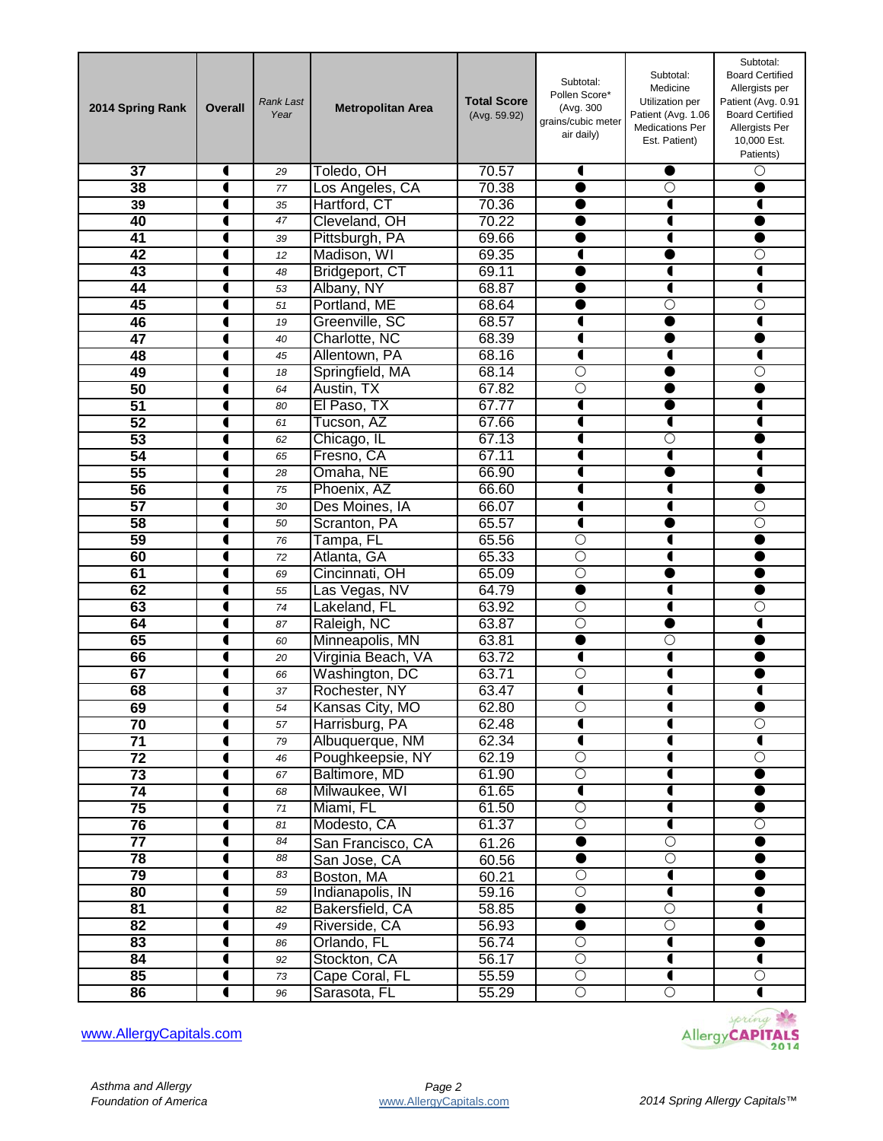| 2014 Spring Rank | <b>Overall</b>       | <b>Rank Last</b><br>Year | <b>Metropolitan Area</b> | <b>Total Score</b><br>(Avg. 59.92) | Subtotal:<br>Pollen Score*<br>(Avg. 300<br>grains/cubic meter<br>air daily) | Subtotal:<br>Medicine<br>Utilization per<br>Patient (Avg. 1.06<br><b>Medications Per</b><br>Est. Patient) | Subtotal:<br><b>Board Certified</b><br>Allergists per<br>Patient (Avg. 0.91<br><b>Board Certified</b><br>Allergists Per<br>10,000 Est.<br>Patients) |
|------------------|----------------------|--------------------------|--------------------------|------------------------------------|-----------------------------------------------------------------------------|-----------------------------------------------------------------------------------------------------------|-----------------------------------------------------------------------------------------------------------------------------------------------------|
| $\overline{37}$  | 1                    | 29                       | Toledo, OH               | 70.57                              | ◀                                                                           |                                                                                                           | $\bigcirc$                                                                                                                                          |
| $\overline{38}$  | 1                    | 77                       | Los Angeles, CA          | 70.38                              | $\bullet$                                                                   | $\overline{O}$                                                                                            | O                                                                                                                                                   |
| 39               | 1                    | 35                       | Hartford, CT             | 70.36                              | e                                                                           | ◀                                                                                                         | 1                                                                                                                                                   |
| 40               | 1                    | 47                       | Cleveland, OH            | 70.22                              |                                                                             | ◀                                                                                                         |                                                                                                                                                     |
| 41               | 1                    | 39                       | Pittsburgh, PA           | 69.66                              |                                                                             |                                                                                                           |                                                                                                                                                     |
| 42               | 1                    | 12                       | Madison, WI              | 69.35                              | 1                                                                           |                                                                                                           | $\bigcirc$                                                                                                                                          |
| 43               | 1                    | 48                       | Bridgeport, CT           | 69.11                              |                                                                             |                                                                                                           | ◀                                                                                                                                                   |
| 44               | 1                    | 53                       | Albany, NY               | 68.87                              |                                                                             | c                                                                                                         | ◀                                                                                                                                                   |
| 45               | 1                    | 51                       | Portland, ME             | 68.64                              |                                                                             | $\overline{\circ}$                                                                                        | $\overline{\bigcirc}$                                                                                                                               |
| 46               |                      | 19                       | Greenville, SC           | 68.57                              |                                                                             |                                                                                                           |                                                                                                                                                     |
| 47               | 1                    | 40                       | Charlotte, NC            | 68.39                              |                                                                             |                                                                                                           |                                                                                                                                                     |
| 48               | 1                    | 45                       | Allentown, PA            | 68.16                              | $\blacksquare$                                                              | ◀                                                                                                         | $\blacksquare$                                                                                                                                      |
| 49               | $\blacksquare$       | 18                       | Springfield, MA          | 68.14                              | $\overline{\circ}$                                                          |                                                                                                           | $\overline{\bigcirc}$                                                                                                                               |
| 50               | 1                    | 64                       | Austin, TX               | 67.82                              | $\bigcirc$                                                                  |                                                                                                           |                                                                                                                                                     |
| $\overline{51}$  | 1                    | 80                       | El Paso, TX              | 67.77                              | $\blacksquare$                                                              |                                                                                                           | 1                                                                                                                                                   |
| 52               | 1                    | 61                       | Tucson, AZ               | 67.66                              | $\blacksquare$                                                              | ◀                                                                                                         | 1                                                                                                                                                   |
| 53               | ◀                    | 62                       | Chicago, IL              | 67.13                              | $\blacksquare$                                                              | $\overline{\circ}$                                                                                        |                                                                                                                                                     |
| $\overline{54}$  | 1                    | 65                       | Fresno, CA               | 67.11                              | 1                                                                           | ◀                                                                                                         |                                                                                                                                                     |
| 55               | 1                    | 28                       | Omaha, NE                | 66.90                              | 1                                                                           |                                                                                                           | 1                                                                                                                                                   |
| 56               | 1                    | 75                       | Phoenix, AZ              | 66.60                              | $\blacksquare$                                                              | 1                                                                                                         |                                                                                                                                                     |
| $\overline{57}$  | ◀                    | 30                       | Des Moines, IA           | 66.07                              | 1                                                                           |                                                                                                           | $\bigcirc$                                                                                                                                          |
| 58<br>59         | 1<br>1               | 50                       | Scranton, PA             | 65.57<br>65.56                     | $\overline{\bigcirc}$                                                       |                                                                                                           | O                                                                                                                                                   |
| 60               | 1                    | 76<br>72                 | Tampa, FL<br>Atlanta, GA | 65.33                              | $\overline{\bigcirc}$                                                       |                                                                                                           |                                                                                                                                                     |
| 61               | 1                    | 69                       | Cincinnati, OH           | 65.09                              | $\overline{\bigcirc}$                                                       |                                                                                                           |                                                                                                                                                     |
| 62               | 1                    | 55                       | Las Vegas, NV            | 64.79                              | 0                                                                           |                                                                                                           |                                                                                                                                                     |
| 63               | 1                    | 74                       | Lakeland, FL             | 63.92                              | $\overline{\bigcirc}$                                                       | 1                                                                                                         | $\bigcirc$                                                                                                                                          |
| 64               | 1                    | 87                       | Raleigh, NC              | 63.87                              | $\overline{O}$                                                              |                                                                                                           | $\blacksquare$                                                                                                                                      |
| 65               | 1                    | 60                       | Minneapolis, MN          | 63.81                              |                                                                             | $\bigcirc$                                                                                                |                                                                                                                                                     |
| 66               | 1                    | 20                       | Virginia Beach, VA       | 63.72                              | ◀                                                                           |                                                                                                           |                                                                                                                                                     |
| 67               | 1                    | 66                       | Washington, DC           | 63.71                              | $\overline{O}$                                                              |                                                                                                           |                                                                                                                                                     |
| 68               | 1                    | 37                       | Rochester, NY            | 63.47                              | $\blacksquare$                                                              | 1                                                                                                         |                                                                                                                                                     |
| 69               | 1                    | 54                       | Kansas City, MO          | 62.80                              | $\bigcirc$                                                                  | ŧ                                                                                                         |                                                                                                                                                     |
| 70               | 1                    | 57                       | Harrisburg, PA           | 62.48                              | $\overline{\mathbf{1}}$                                                     | 1                                                                                                         | $\overline{\bigcirc}$                                                                                                                               |
| $\overline{71}$  | 1                    | 79                       | Albuquerque, NM          | 62.34                              | $\blacksquare$                                                              | 1                                                                                                         | ◀                                                                                                                                                   |
| 72               | 1                    | 46                       | Poughkeepsie, NY         | 62.19                              | $\circ$                                                                     | ◀                                                                                                         | $\bigcirc$                                                                                                                                          |
| $\overline{73}$  | 1                    | 67                       | Baltimore, MD            | 61.90                              | $\bigcirc$                                                                  | 1                                                                                                         | $\bullet$                                                                                                                                           |
| 74               | 1                    | 68                       | Milwaukee, WI            | 61.65                              | ◀                                                                           |                                                                                                           |                                                                                                                                                     |
| 75               | 1                    | 71                       | Miami, FL                | 61.50                              | $\overline{O}$                                                              | C                                                                                                         |                                                                                                                                                     |
| 76               | 1                    | 81                       | Modesto, CA              | 61.37                              | $\bigcirc$                                                                  | 1                                                                                                         | $\overline{\bigcirc}$                                                                                                                               |
| $\overline{77}$  | 1                    | 84                       | San Francisco, CA        | 61.26                              | $\bullet$                                                                   | $\overline{O}$                                                                                            |                                                                                                                                                     |
| 78               | 1                    | 88                       | San Jose, CA             | 60.56                              | $\bullet$                                                                   | $\bigcirc$                                                                                                |                                                                                                                                                     |
| 79               | 1                    | 83                       | Boston, MA               | 60.21                              | $\overline{O}$                                                              | ◀                                                                                                         |                                                                                                                                                     |
| 80               | 1                    | 59                       | Indianapolis, IN         | 59.16                              | $\bigcirc$                                                                  | $\overline{\mathbf{C}}$                                                                                   |                                                                                                                                                     |
| 81               | $\blacklozenge$      | 82                       | Bakersfield, CA          | 58.85                              | $\overline{\bullet}$                                                        | $\bigcirc$                                                                                                | $\blacksquare$                                                                                                                                      |
| $\overline{82}$  | 1                    | 49                       | Riverside, CA            | 56.93                              |                                                                             | $\bigcirc$                                                                                                |                                                                                                                                                     |
| 83               | 1                    | 86                       | Orlando, FL              | 56.74                              | $\overline{O}$                                                              | 1                                                                                                         |                                                                                                                                                     |
| 84               | 1                    | 92                       | Stockton, CA             | 56.17                              | $\bigcirc$                                                                  | 1                                                                                                         | ◀                                                                                                                                                   |
| 85               | 1                    | 73                       | Cape Coral, FL           | 55.59                              | $\overline{\bigcirc}$                                                       | $\overline{\mathbf{C}}$                                                                                   | $\circ$                                                                                                                                             |
| 86               | $\overline{\bullet}$ | 96                       | Sarasota, FL             | 55.29                              | $\bigcirc$                                                                  | $\circ$                                                                                                   | $\overline{\bullet}$                                                                                                                                |

[www.AllergyCapitals.com](http://www.allergycapitals.com/)